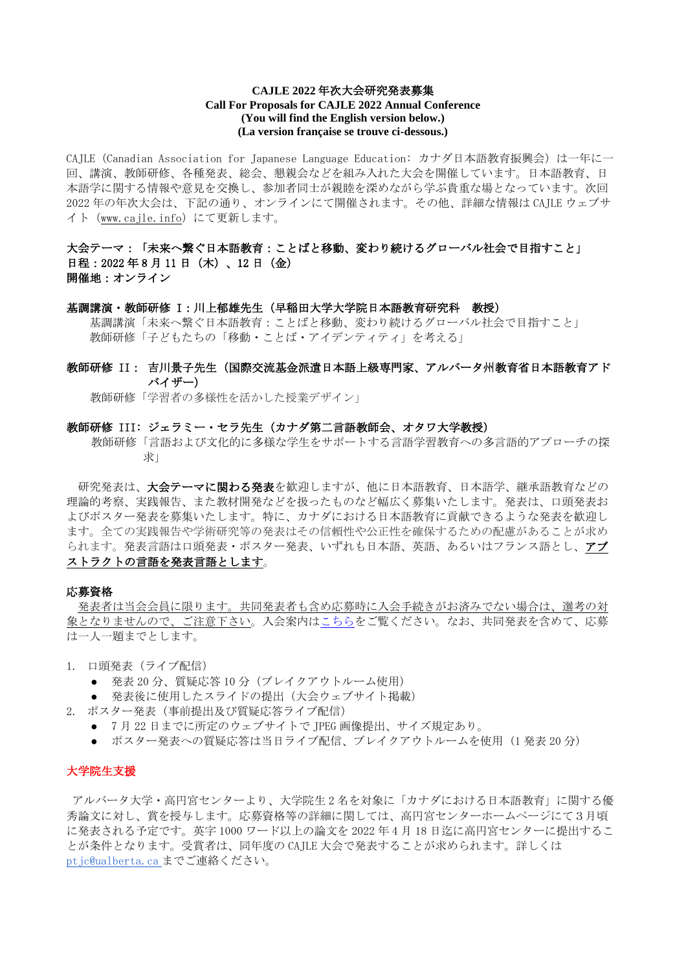# **CAJLE 2022** 年次大会研究発表募集 **Call For Proposals for CAJLE 2022 Annual Conference (You will find the English version below.) (La version française se trouve ci-dessous.)**

CAJLE (Canadian Association for Japanese Language Education: カナダ日本語教育振興会) は一年に一 回、講演、教師研修、各種発表、総会、懇親会などを組み入れた大会を開催しています。日本語教育、日 本語学に関する情報や意見を交換し、参加者同士が親睦を深めながら学ぶ貴重な場となっています。次回 2022 年の年次大会は、下記の通り、オンラインにて開催されます。その他、詳細な情報は CAJLE ウェブサ イト([www.cajle.info](http://www.cajle.info/))にて更新します。

# 大会テーマ:「未来へ繋ぐ日本語教育:ことばと移動、変わり続けるグローバル社会で目指すこと」 日程: 2022年8月11日 (木)、12日(金) 開催地:オンライン

#### 基調講演・教師研修 I:川上郁雄先生(早稲田大学大学院日本語教育研究科 教授)

 基調講演「未来へ繋ぐ日本語教育:ことばと移動、変わり続けるグローバル社会で目指すこと」 教師研修「子どもたちの「移動・ことば・アイデンティティ」を考える」

# 教師研修 II: 吉川景子先生(国際交流基金派遣日本語上級専門家、アルバータ州教育省日本語教育アド バイザー)

教師研修「学習者の多様性を活かした授業デザイン」

#### 教師研修 III: ジェラミー・セラ先生(カナダ第二言語教師会、オタワ大学教授)

教師研修「言語および文化的に多様な学生をサポートする言語学習教育への多言語的アプローチの探 求」

研究発表は、大会テーマに関わる発表を歓迎しますが、他に日本語教育、日本語学、継承語教育などの 理論的考察、実践報告、また教材開発などを扱ったものなど幅広く募集いたします。発表は、口頭発表お よびポスター発表を募集いたします。特に、カナダにおける日本語教育に貢献できるような発表を歓迎し ます。全ての実践報告や学術研究等の発表はその信頼性や公正性を確保するための配慮があることが求め られます。発表言語は口頭発表・ポスター発表、いずれも日本語、英語、あるいはフランス語とし、アブ ストラクトの言語を発表言語とします。

#### 応募資格

発表者は当会会員に限ります。共同発表者も含め応募時に入会手続きがお済みでない場合は、選考の対 象となりませんので、ご注意下さい。入会案内[はこちらを](http://www.cajle.info/about-us/membership/)ご覧ください。なお、共同発表を含めて、応募 は一人一題までとします。

1. 口頭発表(ライブ配信)

- 発表 20分、質疑応答 10分(ブレイクアウトルーム使用)
- 発表後に使用したスライドの提出(大会ウェブサイト掲載)
- 2. ポスター発表(事前提出及び質疑応答ライブ配信)
	- 7月 22 日までに所定のウェブサイトで JPEG 画像提出、サイズ規定あり。
	- ポスター発表への質疑応答は当日ライブ配信、ブレイクアウトルームを使用 (1 発表 20 分)

### 大学院生支援

アルバータ大学・高円宮センターより、大学院生 2 名を対象に「カナダにおける日本語教育」に関する優 秀論文に対し、賞を授与します。応募資格等の詳細に関しては、高円宮センターホームページにて3月頃 に発表される予定です。英字 1000 ワード以上の論文を 2022 年 4 月 18 日迄に高円宮センターに提出するこ とが条件となります。受賞者は、同年度の CAJLE 大会で発表することが求められます。詳しくは [ptjc@ualberta.ca](mailto:ptjc@ualberta.ca) までご連絡ください。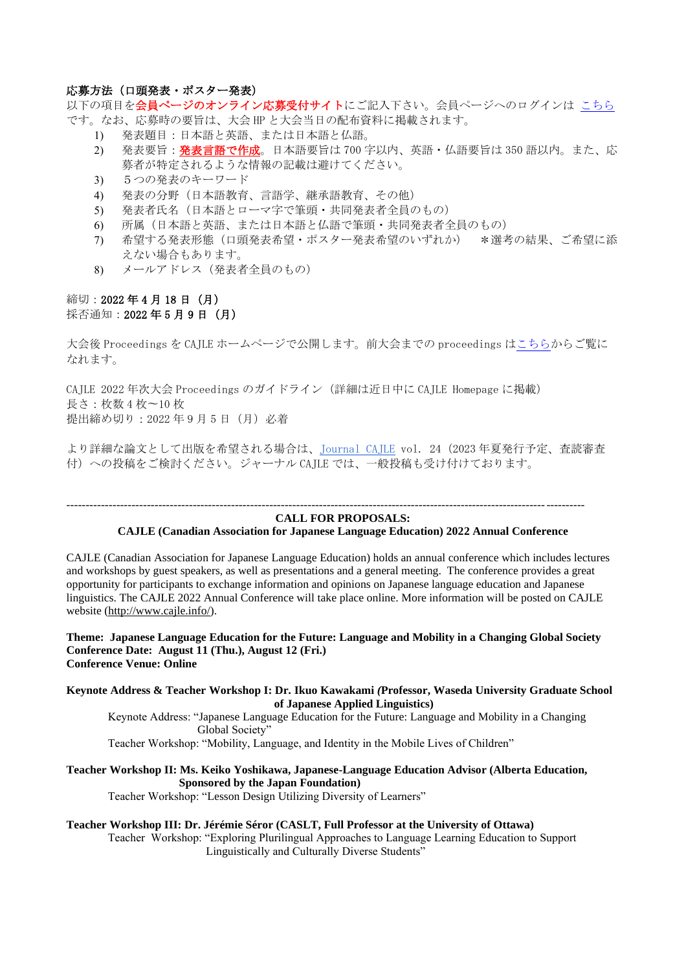# 応募方法(口頭発表・ポスター発表)

以下の項目を**会員ページのオンライン応募受付サイト**にご記入下さい。会員ページへのログインは [こちら](http://www.cajle.info/about-us/membership/sign-in/) です。なお、応募時の要旨は、大会 HP と大会当日の配布資料に掲載されます。

- 1) 発表題目:日本語と英語、または日本語と仏語。
- 2) 発表要旨:発表言語で作成。日本語要旨は 700 字以内、英語·仏語要旨は 350 語以内。また、応 募者が特定されるような情報の記載は避けてください。
- 3) 5つの発表のキーワード
- 4) 発表の分野(日本語教育、言語学、継承語教育、その他)
- 5) 発表者氏名(日本語とローマ字で筆頭・共同発表者全員のもの)
- 6) 所属(日本語と英語、または日本語と仏語で筆頭・共同発表者全員のもの)
- 7) 希望する発表形態(口頭発表希望・ポスター発表希望のいずれか) \*選考の結果、ご希望に添 えない場合もあります。
- 8) メールアドレス(発表者全員のもの)

# 締切:2022 年 4 月 18 日(月) 採否通知: 2022年5月9日(月)

大会後 Proceedings を CAJLE ホームページで公開します。前大会までの proceedings は<u>こちら</u>からご覧に なれます。

CAJLE 2022 年次大会 Proceedings のガイドライン(詳細は近日中に CAJLE Homepage に掲載) 長さ:枚数 4 枚〜10 枚 提出締め切り: 2022 年9月5日 (月) 必着

より詳細な論文として出版を希望される場合は、[Journal CAJLE](https://www.cajle.info/publications/journal-cajle/) vol. 24(2023 年夏発行予定、査読審査 付)への投稿をご検討ください。ジャーナル CAJLE では、一般投稿も受け付けております。

#### --------------------------------------------------------------------------------------------------------------------------------------- **CALL FOR PROPOSALS:**

# **CAJLE (Canadian Association for Japanese Language Education) 2022 Annual Conference**

CAJLE (Canadian Association for Japanese Language Education) holds an annual conference which includes lectures and workshops by guest speakers, as well as presentations and a general meeting. The conference provides a great opportunity for participants to exchange information and opinions on Japanese language education and Japanese linguistics. The CAJLE 2022 Annual Conference will take place online. More information will be posted on CAJLE website [\(http://www.cajle.info/\)](http://www.cajle.info/).

**Theme: Japanese Language Education for the Future: Language and Mobility in a Changing Global Society Conference Date: August 11 (Thu.), August 12 (Fri.) Conference Venue: Online**

**Keynote Address & Teacher Workshop I: Dr***.* **Ikuo Kawakami** *(***Professor, Waseda University Graduate School of Japanese Applied Linguistics)**

Keynote Address: "Japanese Language Education for the Future: Language and Mobility in a Changing Global Society"

Teacher Workshop: "Mobility, Language, and Identity in the Mobile Lives of Children"

**Teacher Workshop II: Ms. Keiko Yoshikawa, Japanese-Language Education Advisor (Alberta Education, Sponsored by the Japan Foundation)** Teacher Workshop: "Lesson Design Utilizing Diversity of Learners"

# **Teacher Workshop III: Dr. Jérémie Séror (CASLT, Full Professor at the University of Ottawa)**

Teacher Workshop: "Exploring Plurilingual Approaches to Language Learning Education to Support Linguistically and Culturally Diverse Students"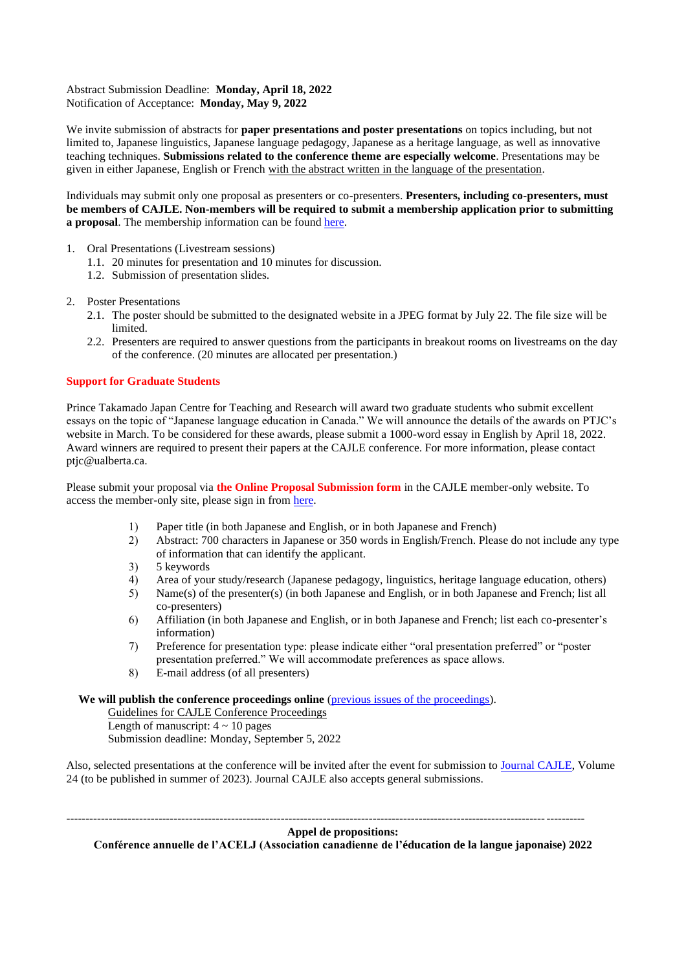Abstract Submission Deadline: **Monday, April 18, 2022** Notification of Acceptance: **Monday, May 9, 2022**

We invite submission of abstracts for **paper presentations and poster presentations** on topics including, but not limited to, Japanese linguistics, Japanese language pedagogy, Japanese as a heritage language, as well as innovative teaching techniques. **Submissions related to the conference theme are especially welcome**. Presentations may be given in either Japanese, English or French with the abstract written in the language of the presentation.

Individuals may submit only one proposal as presenters or co-presenters. **Presenters, including co-presenters, must be members of CAJLE. Non-members will be required to submit a membership application prior to submitting a proposal**. The membership information can be found [here.](http://www.cajle.info/about-us/membership/)

- 1. Oral Presentations (Livestream sessions)
	- 1.1. 20 minutes for presentation and 10 minutes for discussion.
	- 1.2. Submission of presentation slides.
- 2. Poster Presentations
	- 2.1. The poster should be submitted to the designated website in a JPEG format by July 22. The file size will be limited.
	- 2.2. Presenters are required to answer questions from the participants in breakout rooms on livestreams on the day of the conference. (20 minutes are allocated per presentation.)

### **Support for Graduate Students**

Prince Takamado Japan Centre for Teaching and Research will award two graduate students who submit excellent essays on the topic of "Japanese language education in Canada." We will announce the details of the awards on PTJC's website in March. To be considered for these awards, please submit a 1000-word essay in English by April 18, 2022. Award winners are required to present their papers at the CAJLE conference. For more information, please contact ptjc@ualberta.ca.

Please submit your proposal via **the Online Proposal Submission form** in the CAJLE member-only website. To access the member-only site, please sign in from [here.](http://www.cajle.info/about-us/membership/sign-in/)

- 1) Paper title (in both Japanese and English, or in both Japanese and French)
- 2) Abstract: 700 characters in Japanese or 350 words in English/French. Please do not include any type of information that can identify the applicant.
- 3) 5 keywords
- 4) Area of your study/research (Japanese pedagogy, linguistics, heritage language education, others)
- 5) Name(s) of the presenter(s) (in both Japanese and English, or in both Japanese and French; list all co-presenters)
- 6) Affiliation (in both Japanese and English, or in both Japanese and French; list each co-presenter's information)
- 7) Preference for presentation type: please indicate either "oral presentation preferred" or "poster presentation preferred." We will accommodate preferences as space allows.
- 8) E-mail address (of all presenters)

We will publish the conference proceedings online [\(previous issues of the proceedings\)](http://www.cajle.info/conference-proceedings/).

Guidelines for CAJLE Conference Proceedings Length of manuscript:  $4 \sim 10$  pages Submission deadline: Monday, September 5, 2022

Also, selected presentations at the conference will be invited after the event for submission to [Journal CAJLE,](http://www.cajle.info/publications/journal-cajle/) Volume 24 (to be published in summer of 2023). Journal CAJLE also accepts general submissions.

**Appel de propositions:** 

---------------------------------------------------------------------------------------------------------------------------------------

**Conférence annuelle de l'ACELJ (Association canadienne de l'éducation de la langue japonaise) 2022**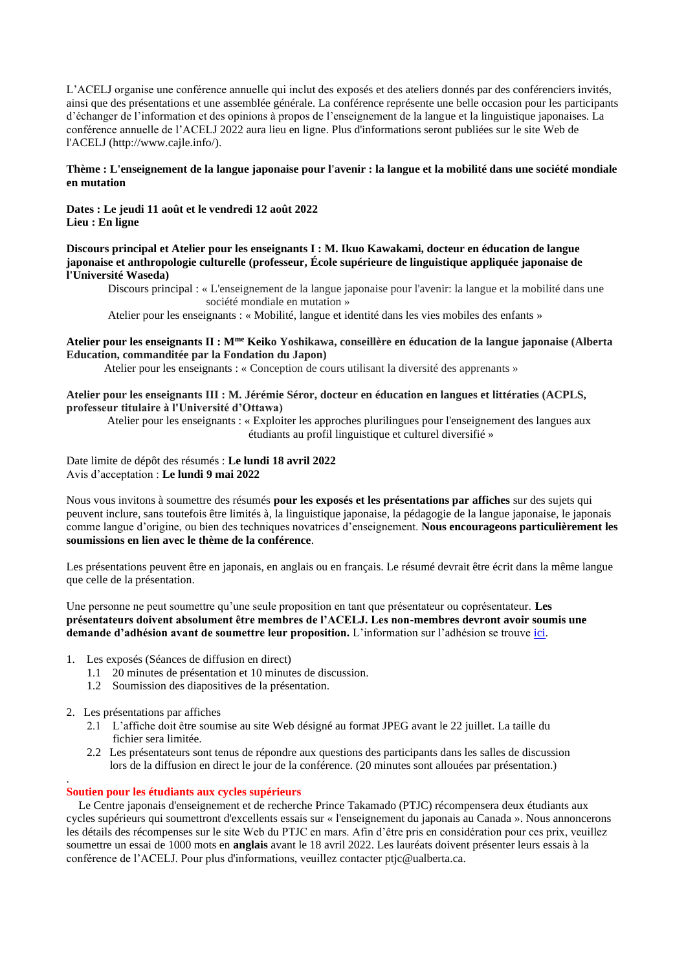L'ACELJ organise une conférence annuelle qui inclut des exposés et des ateliers donnés par des conférenciers invités, ainsi que des présentations et une assemblée générale. La conférence représente une belle occasion pour les participants d'échanger de l'information et des opinions à propos de l'enseignement de la langue et la linguistique japonaises. La conférence annuelle de l'ACELJ 2022 aura lieu en ligne. Plus d'informations seront publiées sur le site Web de l'ACELJ [\(http://www.cajle.info/\)](http://www.cajle.info/?fbclid=IwAR2amPJcNapVDB1FI0mFtVOvLALOw3lH19uFFj8KMtHpcVgrZrtdi9buibo).

### **Thème : L'enseignement de la langue japonaise pour l'avenir : la langue et la mobilité dans une société mondiale en mutation**

**Dates : Le jeudi 11 août et le vendredi 12 août 2022 Lieu : En ligne**

### **Discours principal et Atelier pour les enseignants I : M. Ikuo Kawakami, docteur en éducation de langue japonaise et anthropologie culturelle (professeur, École supérieure de linguistique appliquée japonaise de l'Université Waseda)**

Discours principal : « L'enseignement de la langue japonaise pour l'avenir: la langue et la mobilité dans une société mondiale en mutation »

Atelier pour les enseignants : « Mobilité, langue et identité dans les vies mobiles des enfants »

# **Atelier pour les enseignants II : Mme Keiko Yoshikawa, conseillère en éducation de la langue japonaise (Alberta Education, commanditée par la Fondation du Japon)**

Atelier pour les enseignants : « Conception de cours utilisant la diversité des apprenants »

# **Atelier pour les enseignants III : M. Jérémie Séror, docteur en éducation en langues et littératies (ACPLS, professeur titulaire à l'Université d'Ottawa)**

Atelier pour les enseignants : « Exploiter les approches plurilingues pour l'enseignement des langues aux étudiants au profil linguistique et culturel diversifié »

### Date limite de dépôt des résumés : **Le lundi 18 avril 2022** Avis d'acceptation : **Le lundi 9 mai 2022**

Nous vous invitons à soumettre des résumés **pour les exposés et les présentations par affiches** sur des sujets qui peuvent inclure, sans toutefois être limités à, la linguistique japonaise, la pédagogie de la langue japonaise, le japonais comme langue d'origine, ou bien des techniques novatrices d'enseignement. **Nous encourageons particulièrement les soumissions en lien avec le thème de la conférence**.

Les présentations peuvent être en japonais, en anglais ou en français. Le résumé devrait être écrit dans la même langue que celle de la présentation.

Une personne ne peut soumettre qu'une seule proposition en tant que présentateur ou coprésentateur. **Les présentateurs doivent absolument être membres de l'ACELJ. Les non-membres devront avoir soumis une demande d'adhésion avant de soumettre leur proposition.** L'information sur l'adhésion se trouve [ici.](http://www.cajle.info/about-us/membership/)

- 1. Les exposés (Séances de diffusion en direct)
	- 1.1 20 minutes de présentation et 10 minutes de discussion.
	- 1.2 Soumission des diapositives de la présentation.
- 2. Les présentations par affiches
	- 2.1 L'affiche doit être soumise au site Web désigné au format JPEG avant le 22 juillet. La taille du fichier sera limitée.
	- 2.2 Les présentateurs sont tenus de répondre aux questions des participants dans les salles de discussion lors de la diffusion en direct le jour de la conférence. (20 minutes sont allouées par présentation.)

#### . **Soutien pour les étudiants aux cycles supérieurs**

Le Centre japonais d'enseignement et de recherche Prince Takamado (PTJC) récompensera deux étudiants aux cycles supérieurs qui soumettront d'excellents essais sur « l'enseignement du japonais au Canada ». Nous annoncerons les détails des récompenses sur le site Web du PTJC en mars. Afin d'être pris en considération pour ces prix, veuillez soumettre un essai de 1000 mots en **anglais** avant le 18 avril 2022. Les lauréats doivent présenter leurs essais à la conférence de l'ACELJ. Pour plus d'informations, veuillez contacter ptjc@ualberta.ca.